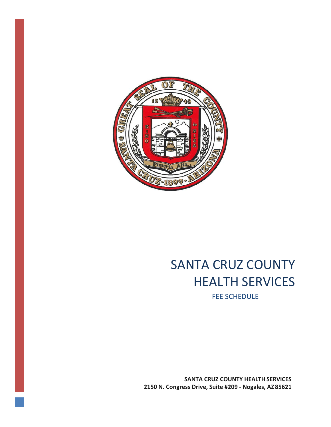

## SANTA CRUZ COUNTY HEALTH SERVICES

FEE SCHEDULE

**SANTA CRUZ COUNTY HEALTH SERVICES 2150 N. Congress Drive, Suite #209 - Nogales, AZ 85621**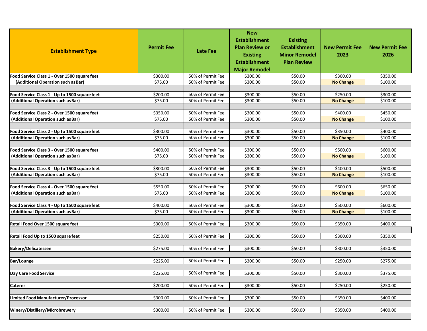| <b>Establishment Type</b>                     | <b>Permit Fee</b> | <b>Late Fee</b>                        | <b>New</b><br><b>Establishment</b><br><b>Plan Review or</b><br><b>Existing</b><br><b>Establishment</b><br><b>Major Remodel</b> | <b>Existing</b><br><b>Establishment</b><br><b>Minor Remodel</b><br><b>Plan Review</b> | <b>New Permit Fee</b><br>2023 | <b>New Permit Fee</b><br>2026 |
|-----------------------------------------------|-------------------|----------------------------------------|--------------------------------------------------------------------------------------------------------------------------------|---------------------------------------------------------------------------------------|-------------------------------|-------------------------------|
| Food Service Class 1 - Over 1500 square feet  | \$300.00          | 50% of Permit Fee                      | \$300.00                                                                                                                       | \$50.00                                                                               | \$300.00                      | \$350.00                      |
| (Additional Operation such as Bar)            | \$75.00           | 50% of Permit Fee                      | \$300.00                                                                                                                       | \$50.00                                                                               | <b>No Change</b>              | \$100.00                      |
|                                               |                   |                                        |                                                                                                                                |                                                                                       |                               |                               |
| Food Service Class 1 - Up to 1500 square feet | \$200.00          | 50% of Permit Fee                      | \$300.00                                                                                                                       | \$50.00                                                                               | \$250.00                      | \$300.00                      |
| (Additional Operation such as Bar)            | \$75.00           | 50% of Permit Fee                      | \$300.00                                                                                                                       | \$50.00                                                                               | <b>No Change</b>              | \$100.00                      |
|                                               |                   |                                        |                                                                                                                                |                                                                                       |                               |                               |
| Food Service Class 2 - Over 1500 square feet  | \$350.00          | 50% of Permit Fee                      | \$300.00                                                                                                                       | \$50.00                                                                               | \$400.00                      | \$450.00                      |
| (Additional Operation such as Bar)            | \$75.00           | 50% of Permit Fee                      | \$300.00                                                                                                                       | \$50.00                                                                               | <b>No Change</b>              | \$100.00                      |
|                                               |                   |                                        |                                                                                                                                |                                                                                       |                               |                               |
| Food Service Class 2 - Up to 1500 square feet | \$300.00          | 50% of Permit Fee                      | \$300.00                                                                                                                       | \$50.00                                                                               | \$350.00                      | \$400.00                      |
| (Additional Operation such as Bar)            | \$75.00           | 50% of Permit Fee                      | \$300.00                                                                                                                       | \$50.00                                                                               | <b>No Change</b>              | \$100.00                      |
|                                               |                   |                                        |                                                                                                                                |                                                                                       |                               |                               |
| Food Service Class 3 - Over 1500 square feet  | \$400.00          | 50% of Permit Fee<br>50% of Permit Fee | \$300.00                                                                                                                       | \$50.00                                                                               | \$500.00                      | \$600.00                      |
| (Additional Operation such as Bar)            | \$75.00           |                                        | \$300.00                                                                                                                       | \$50.00                                                                               | <b>No Change</b>              | \$100.00                      |
| Food Service Class 3 - Up to 1500 square feet | \$300.00          | 50% of Permit Fee                      | \$300.00                                                                                                                       | \$50.00                                                                               | \$400.00                      | \$500.00                      |
| (Additional Operation such as Bar)            | \$75.00           | 50% of Permit Fee                      | \$300.00                                                                                                                       | \$50.00                                                                               | <b>No Change</b>              | \$100.00                      |
|                                               |                   |                                        |                                                                                                                                |                                                                                       |                               |                               |
| Food Service Class 4 - Over 1500 square feet  | \$550.00          | 50% of Permit Fee                      | \$300.00                                                                                                                       | \$50.00                                                                               | \$600.00                      | \$650.00                      |
| (Additional Operation such as Bar)            | \$75.00           | 50% of Permit Fee                      | \$300.00                                                                                                                       | \$50.00                                                                               | <b>No Change</b>              | \$100.00                      |
|                                               |                   |                                        |                                                                                                                                |                                                                                       |                               |                               |
| Food Service Class 4 - Up to 1500 square feet | \$400.00          | 50% of Permit Fee                      | \$300.00                                                                                                                       | \$50.00                                                                               | \$500.00                      | \$600.00                      |
| (Additional Operation such as Bar)            | \$75.00           | 50% of Permit Fee                      | \$300.00                                                                                                                       | \$50.00                                                                               | <b>No Change</b>              | \$100.00                      |
|                                               |                   |                                        |                                                                                                                                |                                                                                       |                               |                               |
| Retail Food Over 1500 square feet             | \$300.00          | 50% of Permit Fee                      | \$300.00                                                                                                                       | \$50.00                                                                               | \$350.00                      | \$400.00                      |
|                                               |                   |                                        |                                                                                                                                |                                                                                       |                               |                               |
| Retail Food Up to 1500 square feet            | \$250.00          | 50% of Permit Fee                      | \$300.00                                                                                                                       | \$50.00                                                                               | \$300.00                      | \$350.00                      |
|                                               |                   |                                        |                                                                                                                                |                                                                                       |                               |                               |
| <b>Bakery/Delicatessen</b>                    | \$275.00          | 50% of Permit Fee                      | \$300.00                                                                                                                       | \$50.00                                                                               | \$300.00                      | \$350.00                      |
|                                               |                   |                                        |                                                                                                                                |                                                                                       |                               |                               |
| <b>Bar/Lounge</b>                             | \$225.00          | 50% of Permit Fee                      | \$300.00                                                                                                                       | \$50.00                                                                               | \$250.00                      | \$275.00                      |
|                                               |                   |                                        |                                                                                                                                |                                                                                       |                               |                               |
| Day Care Food Service                         | \$225.00          | 50% of Permit Fee                      | \$300.00                                                                                                                       | \$50.00                                                                               | \$300.00                      | \$375.00                      |
|                                               |                   |                                        |                                                                                                                                |                                                                                       |                               |                               |
| <b>Caterer</b>                                | \$200.00          | 50% of Permit Fee                      | \$300.00                                                                                                                       | \$50.00                                                                               | \$250.00                      | \$250.00                      |
|                                               | \$300.00          | 50% of Permit Fee                      |                                                                                                                                |                                                                                       |                               |                               |
| Limited Food Manufacturer/Processor           |                   |                                        | \$300.00                                                                                                                       | \$50.00                                                                               | \$350.00                      | \$400.00                      |
| Winery/Distillery/Microbrewery                | \$300.00          | 50% of Permit Fee                      | \$300.00                                                                                                                       | \$50.00                                                                               | \$350.00                      | \$400.00                      |
|                                               |                   |                                        |                                                                                                                                |                                                                                       |                               |                               |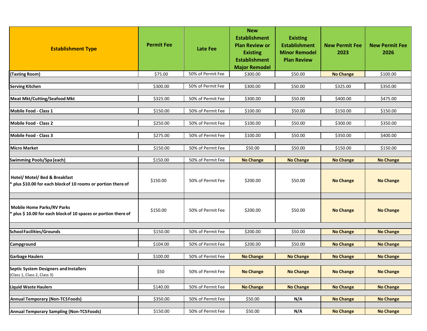| <b>Establishment Type</b>                                                                           | <b>Permit Fee</b> | <b>Late Fee</b>   | <b>New</b><br><b>Establishment</b><br><b>Plan Review or</b><br><b>Existing</b><br><b>Establishment</b><br><b>Major Remodel</b> | <b>Existing</b><br><b>Establishment</b><br><b>Minor Remodel</b><br><b>Plan Review</b> | <b>New Permit Fee</b><br>2023 | <b>New Permit Fee</b><br>2026 |
|-----------------------------------------------------------------------------------------------------|-------------------|-------------------|--------------------------------------------------------------------------------------------------------------------------------|---------------------------------------------------------------------------------------|-------------------------------|-------------------------------|
| (Tasting Room)                                                                                      | \$75.00           | 50% of Permit Fee | \$300.00                                                                                                                       | \$50.00                                                                               | <b>No Change</b>              | \$100.00                      |
|                                                                                                     |                   |                   |                                                                                                                                |                                                                                       |                               |                               |
| <b>Serving Kitchen</b>                                                                              | \$300.00          | 50% of Permit Fee | \$300.00                                                                                                                       | \$50.00                                                                               | \$325.00                      | \$350.00                      |
|                                                                                                     |                   |                   |                                                                                                                                |                                                                                       |                               |                               |
| <b>Meat Mkt/Cutting/Seafood Mkt</b>                                                                 | \$325.00          | 50% of Permit Fee | \$300.00                                                                                                                       | \$50.00                                                                               | \$400.00                      | \$475.00                      |
| Mobile Food - Class 1                                                                               | \$150.00          | 50% of Permit Fee | \$100.00                                                                                                                       | \$50.00                                                                               | \$150.00                      | \$150.00                      |
|                                                                                                     |                   |                   |                                                                                                                                |                                                                                       |                               |                               |
| Mobile Food - Class 2                                                                               | \$250.00          | 50% of Permit Fee | \$100.00                                                                                                                       | \$50.00                                                                               | \$300.00                      | \$350.00                      |
|                                                                                                     |                   |                   |                                                                                                                                |                                                                                       |                               |                               |
| Mobile Food - Class 3                                                                               | \$275.00          | 50% of Permit Fee | \$100.00                                                                                                                       | \$50.00                                                                               | \$350.00                      | \$400.00                      |
| <b>Micro Market</b>                                                                                 | \$150.00          | 50% of Permit Fee | \$50.00                                                                                                                        | \$50.00                                                                               | \$150.00                      | \$150.00                      |
|                                                                                                     |                   |                   |                                                                                                                                |                                                                                       |                               |                               |
| Swimming Pools/Spa (each)                                                                           | \$150.00          | 50% of Permit Fee | <b>No Change</b>                                                                                                               | <b>No Change</b>                                                                      | <b>No Change</b>              | <b>No Change</b>              |
|                                                                                                     |                   |                   |                                                                                                                                |                                                                                       |                               |                               |
| Hotel/ Motel/ Bed & Breakfast<br>* plus \$10.00 for each block of 10 rooms or portion there of      | \$150.00          | 50% of Permit Fee | \$200.00                                                                                                                       | \$50.00                                                                               | <b>No Change</b>              | <b>No Change</b>              |
| <b>Mobile Home Parks/RV Parks</b><br>* plus \$10.00 for each block of 10 spaces or portion there of | \$150.00          | 50% of Permit Fee | \$200.00                                                                                                                       | \$50.00                                                                               | <b>No Change</b>              | <b>No Change</b>              |
| <b>School Facilities/Grounds</b>                                                                    | \$150.00          | 50% of Permit Fee | \$200.00                                                                                                                       | \$50.00                                                                               | <b>No Change</b>              | <b>No Change</b>              |
|                                                                                                     |                   |                   |                                                                                                                                |                                                                                       |                               |                               |
| Campground                                                                                          | \$104.00          | 50% of Permit Fee | \$200.00                                                                                                                       | \$50.00                                                                               | <b>No Change</b>              | <b>No Change</b>              |
|                                                                                                     |                   |                   |                                                                                                                                |                                                                                       |                               |                               |
| <b>Garbage Haulers</b>                                                                              | \$100.00          | 50% of Permit Fee | <b>No Change</b>                                                                                                               | <b>No Change</b>                                                                      | <b>No Change</b>              | <b>No Change</b>              |
| Septic System Designers and Installers<br>(Class 1, Class 2, Class 3)                               | \$50              | 50% of Permit Fee | <b>No Change</b>                                                                                                               | <b>No Change</b>                                                                      | <b>No Change</b>              | <b>No Change</b>              |
|                                                                                                     |                   |                   |                                                                                                                                |                                                                                       |                               |                               |
| <b>Liquid Waste Haulers</b>                                                                         | \$140.00          | 50% of Permit Fee | <b>No Change</b>                                                                                                               | <b>No Change</b>                                                                      | <b>No Change</b>              | <b>No Change</b>              |
| <b>Annual Temporary (Non-TCSFoods)</b>                                                              | \$350.00          | 50% of Permit Fee | \$50.00                                                                                                                        | N/A                                                                                   | <b>No Change</b>              | <b>No Change</b>              |
|                                                                                                     |                   |                   |                                                                                                                                |                                                                                       |                               |                               |
| <b>Annual Temporary Sampling (Non-TCSFoods)</b>                                                     | \$150.00          | 50% of Permit Fee | \$50.00                                                                                                                        | N/A                                                                                   | <b>No Change</b>              | <b>No Change</b>              |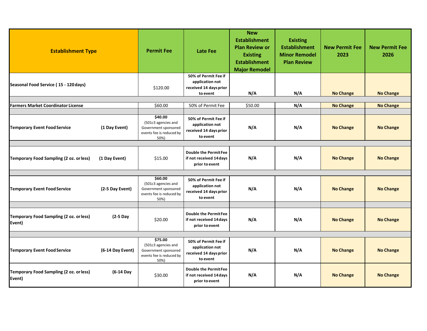| <b>Establishment Type</b>                         |                  | <b>Permit Fee</b>                                                                          | <b>Late Fee</b>                                                               | <b>New</b><br><b>Establishment</b><br><b>Plan Review or</b><br><b>Existing</b><br><b>Establishment</b><br><b>Major Remodel</b> | <b>Existing</b><br><b>Establishment</b><br><b>Minor Remodel</b><br><b>Plan Review</b> | <b>New Permit Fee</b><br>2023 | <b>New Permit Fee</b><br>2026 |
|---------------------------------------------------|------------------|--------------------------------------------------------------------------------------------|-------------------------------------------------------------------------------|--------------------------------------------------------------------------------------------------------------------------------|---------------------------------------------------------------------------------------|-------------------------------|-------------------------------|
| Seasonal Food Service (15 - 120 days)             |                  | \$120.00                                                                                   | 50% of Permit Fee if<br>application not<br>received 14 days prior<br>to event | N/A                                                                                                                            | N/A                                                                                   | <b>No Change</b>              | <b>No Change</b>              |
|                                                   |                  |                                                                                            |                                                                               |                                                                                                                                |                                                                                       |                               |                               |
| <b>Farmers Market Coordinator License</b>         |                  | \$60.00                                                                                    | 50% of Permit Fee                                                             | \$50.00                                                                                                                        | N/A                                                                                   | <b>No Change</b>              | <b>No Change</b>              |
| <b>Temporary Event Food Service</b>               | (1 Day Event)    | \$40.00<br>(501c3 agencies and<br>Government sponsored<br>events fee is reduced by<br>50%) | 50% of Permit Fee if<br>application not<br>received 14 days prior<br>to event | N/A                                                                                                                            | N/A                                                                                   | <b>No Change</b>              | <b>No Change</b>              |
| Temporary Food Sampling (2 oz. or less)           | (1 Day Event)    | \$15.00                                                                                    | <b>Double the PermitFee</b><br>if not received 14 days<br>prior to event      | N/A                                                                                                                            | N/A                                                                                   | <b>No Change</b>              | <b>No Change</b>              |
| <b>Temporary Event Food Service</b>               | (2-5 Day Event)  | \$60.00<br>(501c3 agencies and<br>Government sponsored<br>events fee is reduced by<br>50%) | 50% of Permit Fee if<br>application not<br>received 14 days prior<br>to event | N/A                                                                                                                            | N/A                                                                                   | <b>No Change</b>              | <b>No Change</b>              |
| Temporary Food Sampling (2 oz. or less)<br>Event) | $(2-5$ Day       | \$20.00                                                                                    | <b>Double the PermitFee</b><br>if not received 14 days<br>prior to event      | N/A                                                                                                                            | N/A                                                                                   | <b>No Change</b>              | <b>No Change</b>              |
| <b>Temporary Event Food Service</b>               | (6-14 Day Event) | \$75.00<br>(501c3 agencies and<br>Government sponsored<br>events fee is reduced by<br>50%) | 50% of Permit Fee if<br>application not<br>received 14 days prior<br>to event | N/A                                                                                                                            | N/A                                                                                   | <b>No Change</b>              | <b>No Change</b>              |
| Temporary Food Sampling (2 oz. or less)<br>Event) | (6-14 Day        | \$30.00                                                                                    | <b>Double the PermitFee</b><br>if not received 14 days<br>prior to event      | N/A                                                                                                                            | N/A                                                                                   | <b>No Change</b>              | <b>No Change</b>              |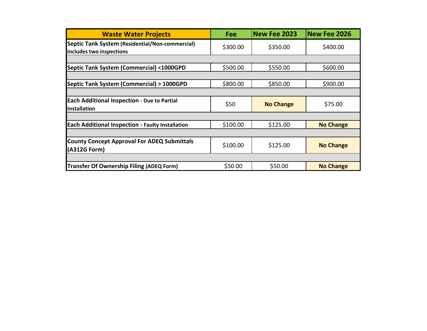| <b>Waste Water Projects</b>                                                 | <b>Fee</b> | New Fee 2023     | <b>New Fee 2026</b> |
|-----------------------------------------------------------------------------|------------|------------------|---------------------|
| Septic Tank System (Residential/Non-commercial)<br>includes two inspections | \$300.00   | \$350.00         | \$400.00            |
|                                                                             |            |                  |                     |
| Septic Tank System (Commercial) <1000GPD                                    | \$500.00   | \$550.00         | \$600.00            |
|                                                                             |            |                  |                     |
| Septic Tank System (Commercial) > 1000GPD                                   | \$800.00   | \$850.00         | \$900.00            |
|                                                                             |            |                  |                     |
| <b>Each Additional Inspection - Due to Partial</b><br>Installation          | \$50       | <b>No Change</b> | \$75.00             |
|                                                                             |            |                  |                     |
| <b>Each Additional Inspection - Faulty Installation</b>                     | \$100.00   | \$125.00         | <b>No Change</b>    |
|                                                                             |            |                  |                     |
| <b>County Concept Approval For ADEQ Submittals</b><br>(A312G Form)          | \$100.00   | \$125.00         | <b>No Change</b>    |
|                                                                             |            |                  |                     |
| <b>Transfer Of Ownership Filing (ADEQ Form)</b>                             | \$50.00    | \$50.00          | <b>No Change</b>    |